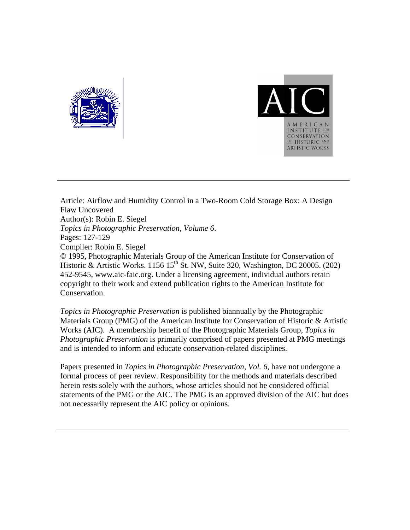



Article: Airflow and Humidity Control in a Two-Room Cold Storage Box: A Design Flaw Uncovered Author(s): Robin E. Siegel *Topics in Photographic Preservation, Volume 6*. Pages: 127-129 Compiler: Robin E. Siegel © 1995, Photographic Materials Group of the American Institute for Conservation of Historic & Artistic Works. 1156  $15^{th}$  St. NW, Suite 320, Washington, DC 20005. (202) 452-9545, www.aic-faic.org. Under a licensing agreement, individual authors retain copyright to their work and extend publication rights to the American Institute for Conservation.

*Topics in Photographic Preservation* is published biannually by the Photographic Materials Group (PMG) of the American Institute for Conservation of Historic & Artistic Works (AIC). A membership benefit of the Photographic Materials Group, *Topics in Photographic Preservation* is primarily comprised of papers presented at PMG meetings and is intended to inform and educate conservation-related disciplines.

Papers presented in *Topics in Photographic Preservation, Vol. 6*, have not undergone a formal process of peer review. Responsibility for the methods and materials described herein rests solely with the authors, whose articles should not be considered official statements of the PMG or the AIC. The PMG is an approved division of the AIC but does not necessarily represent the AIC policy or opinions.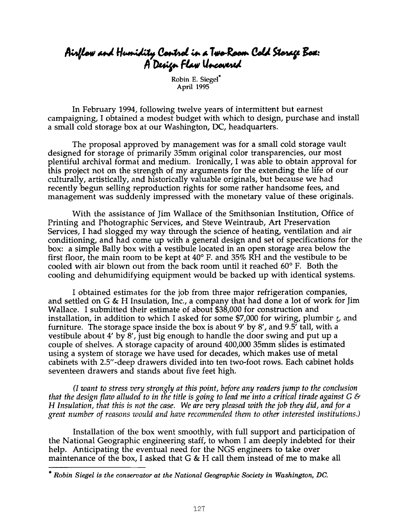## Airflow and Humidity Control in a Two-Room Cold Storage Box:<br>A Design Flaw Uncovered

**Robin** E. **Siegel\* April 1995** 

In February 1994, following twelve years of intermittent but earnest campaigning, I obtained a modest budget with which to design, purchase and install a small cold storage box at our Washington, DC, headquarters.

The proposal approved by management was for a small cold storage vault designed for storage of primarily 35mm original color transparencies, our most plentiful archival format and medium. Ironically, I was able to obtain approval for this project not on the strength of my arguments for the extending the life of our culturally, artistically, and historically valuable originals, but because we had recently begun selling reproduction rights for some rather handsome fees, and management was suddenly impressed with the monetary value of these originals.

With the assistance of Jim Wallace of the Smithsonian Institution, Office of Printing and Photographic Services, and Steve Weintraub, Art Preservation Services, I had slogged my way through the science of heating, ventilation and air conditioning, and had come up with a general design and set of specifications for the box: a simple Bally box with a vestibule located in an open storage area below the first floor, the main room to be kept at 40" F. and 35% RH and the vestibule to be cooled with air blown out from the back room until it reached 60" F. Both the cooling and dehumidifying equipment would be backed up with identical systems.

I obtained estimates for the job from three major refrigeration companies, and settled on G & H Insulation, Inc., a company that had done a lot of work for Jim Wallace. I submitted their estimate of about \$38,000 for construction and installation, in addition to which I asked for some \$7,000 for wiring, plumbir *z*, and furniture. The storage space inside the box is about 9' by 8', and 9.5<sup>'</sup> tall, with a vestibule about 4' by 8', just big enough to handle the door swing and put up a couple of shelves. A storage capacity of around 400,000 35mm slides is estimated using a system of storage we have used for decades, which makes use of metal cabinets with 2.5"-deep drawers divided into ten two-foot rows. Each cabinet holds seventeen drawers and stands about five feet high.

*(I want to stress very strongly at this point, btfore any readers jump to the conclusion that the design flaw alluded to in the title is going to lead me into a critical tirade against G b H Insulation, that this is not the case. We are very pleased with the job they did, and* for *a great number of reasons would and have recommended them to other interested institutions.)* 

Installation of the box went smoothly, with full support and participation of the National Geographic engineering staff, to whom I am deeply indebted for their help. Anticipating the eventual need for the NGS engineers to take over maintenance of the box, I asked that G & H call them instead of me to make all

<sup>\*</sup> Robin Siegel is the conservator at the National Geographic Society in Washington, DC.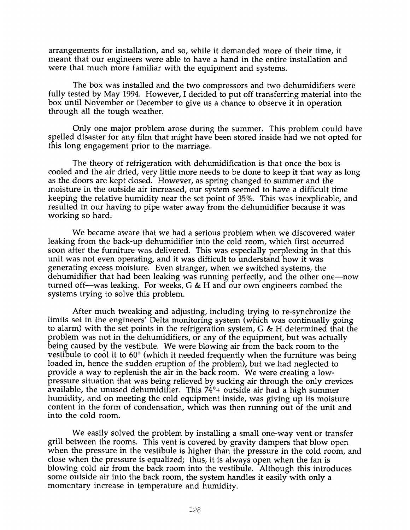arrangements for installation, and so, while it demanded more of their time, it meant that our engineers were able to have a hand in the entire installation and were that much more familiar with the equipment and systems.

The box was installed and the two compressors and two dehumidifiers were fully tested by May **1994.** However, I decided to put off transferring material into the box until November or December to give us a chance to observe it in operation through all the tough weather.

Only one major problem arose during the summer. This problem could have spelled disaster for any film that might have been stored inside had we not opted for this long engagement prior to the marriage.

The theory of refrigeration with dehumidification is that once the box is cooled and the air dried, very little more needs to be done to keep it that way as long as the doors are kept closed. However, as spring changed to summer and the moisture in the outside air increased, our system seemed to have a difficult time keeping the relative humidity near the set point of **35%.** This was inexplicable, and resulted in our having to pipe water away from the dehumidifier because it was working so hard.

We became aware that we had a serious problem when we discovered water leaking from the back-up dehumidifier into the cold room, which first occurred soon after the furniture was delivered. This was especially perplexing in that this unit was not even operating, and it was difficult to understand how it was generating excess moisture. Even stranger, when we switched systems, the dehumidifier that had been leaking was running perfectly, and the other one—now turned off—was leaking. For weeks,  $G \& H$  and our own engineers combed the systems trying to solve this problem.

After much tweaking and adjusting, including trying to re-synchronize the limits set in the engineers' Delta monitoring system (which was continually going to alarm) with the set points in the refrigeration system,  $G \& H$  determined that the problem was not in the dehumidifiers, or any of the equipment, but was actually being caused by the vestibule. We were blowing air from the back room to the vestibule to cool it to 60° (which it needed frequently when the furniture was being loaded in, hence the sudden eruption of the problem), but we had neglected to provide a way to replenish the air in the back room. We were creating a lowpressure situation that was being relieved by sucking air through the only crevices available, the unused dehumidifier. This 74°+ outside air had a high summer humidity, and on meeting the cold equipment inside, was giving up its moisture content in the form of condensation, which was then running out of the unit and into the cold room.

We easily solved the problem by installing a small one-way vent or transfer grill between the rooms. This vent is covered by gravity dampers that blow open when the pressure in the vestibule is higher than the pressure in the cold room, and close when the pressure is equalized; thus, it is always open when the fan is blowing cold air from the back room into the vestibule. Although this introduces some outside air into the back room, the system handles it easily with only a momentary increase in temperature and humidity.